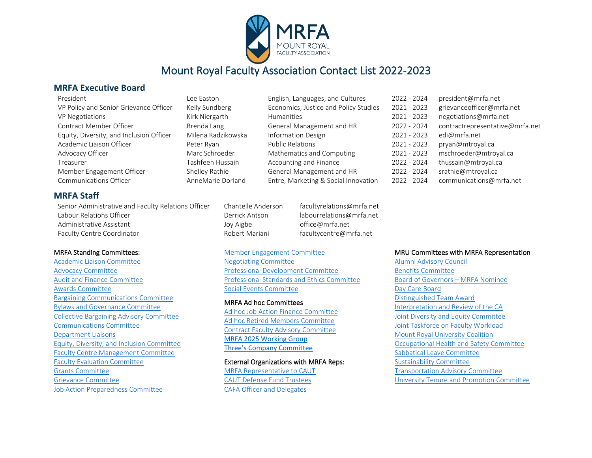

## Mount Royal Faculty Association Contact List 2022-2023

#### **MRFA Executive Board**

|  | President |
|--|-----------|
|  |           |
|  |           |
|  |           |

| PIESIUEIIL                               | LEE EdSLUIT        | Eligiisii, Laliguages, aliu Cultures  | LULL - LUL4 | president@in   |
|------------------------------------------|--------------------|---------------------------------------|-------------|----------------|
| VP Policy and Senior Grievance Officer   | Kelly Sundberg     | Economics, Justice and Policy Studies | 2021 - 2023 | grievanceoffic |
| <b>VP Negotiations</b>                   | Kirk Niergarth     | <b>Humanities</b>                     | 2021 - 2023 | negotiations@  |
| Contract Member Officer                  | Brenda Lang        | General Management and HR             | 2022 - 2024 | contractrepre  |
| Equity, Diversity, and Inclusion Officer | Milena Radzikowska | <b>Information Design</b>             | 2021 - 2023 | edi@mrfa.net   |
| Academic Liaison Officer                 | Peter Rvan         | <b>Public Relations</b>               | 2021 - 2023 | pryan@mtroy    |
| Advocacy Officer                         | Marc Schroeder     | Mathematics and Computing             | 2021 - 2023 | mschroeder@    |
| Treasurer                                | Tashfeen Hussain   | Accounting and Finance                | 2022 - 2024 | thussain@mtr   |
| Member Engagement Officer                | Shelley Rathie     | General Management and HR             | 2022 - 2024 | srathie@mtro   |
| Communications Officer                   | AnneMarie Dorland  | Entre, Marketing & Social Innovation  | 2022 - 2024 | communicatio   |

| Lee Easton         |
|--------------------|
| Kelly Sundberg     |
| Kirk Niergarth     |
| Brenda Lang        |
| Milena Radzikowska |
| Peter Ryan         |
| Marc Schroeder     |
| Tashfeen Hussain   |
| Shelley Rathie     |
| AnneMarie Dorland  |

| English, Languages, and Cultures      |
|---------------------------------------|
| Economics, Justice and Policy Studies |
| <b>Humanities</b>                     |
| General Management and HR             |
| <b>Information Design</b>             |
| <b>Public Relations</b>               |
| Mathematics and Computing             |
| Accounting and Finance                |
| General Management and HR             |
| Entre. Marketing & Social Innovation  |

 $2022 - 2024$  president@mrfa.net 2021 - 2023 grievance officer@mrfa.net 2021 - 2023 negotiations@mrfa.net 2022 - 2024 contract representative@mrfa.net  $2021 - 2023$  pryan@mtroyal.ca 2021 - 2023 mschroeder@mtroyal.ca 2022 - 2024 thussain@mtroyal.ca 2022 - 2024 srathie@mtroyal.ca  $2022 - 2024$  communications@mrfa.net

#### **MRFA Staff**

Senior Administrative and Faculty Relations Officer Chantelle Anderson facultyrelations@mrfa.net Labour Relations Officer The Communications Control of the Derrick Antson labourrelations@mrfa.net Administrative Assistant The Communistrative Assistant Administrative Assistant Administrative Assistant Faculty Centre Coordinator The Robert Mariani faculty Centre@mrfa.net

#### MRFA Standing Committees:

[Academic Liaison Committee](#page-1-0)  [Advocacy Committee](#page-1-1) [Audit and Finance Committee](#page-1-2) [Awards Committee](#page-1-2)  [Bargaining Communications Committee](#page-2-0)  [Bylaws and Governance Committee](#page-2-1)  [Collective Bargaining Advisory Committee](#page-2-2) [Communications Committee](#page-2-3) [Department Liaisons](#page-2-4) [Equity, Diversity, and Inclusion](#page-2-4) Committee [Faculty Centre Management Committee](#page-3-0)  [Faculty Evaluation Committee](#page-4-0) [Grants Committee](#page-4-1) [Grievance Committee](#page-4-2)  [Job Action Preparedness Committee](#page-4-3) 

### [Member Engagement Committee](#page-5-0)

[Negotiating Committee](#page-5-0) [Professional Development Committee](#page-5-1) [Professional Standards and Ethics Committee](#page-6-0) [Social Events Committee](#page-6-1)

#### MRFA Ad hoc Committees

[Ad hoc Job Action Finance Committee](#page-6-2)  [Ad hoc Retired Members Committee](#page-7-0)  [Contract Faculty Advisory Committee](#page-6-2)  [MRFA 2025 Working Group](#page-7-1)  [Three's Company Committee](#page-7-2)

External Organizations with MRFA Reps: [MRFA Representative to CAUT](#page-7-3)

[CAUT Defense Fund Trustees](#page-7-4) [CAFA Officer and Delegates](#page-7-5)

#### MRU Committees with MRFA Representation

[Alumni Advisory Council](#page-8-0) [Benefits Committee](#page-8-1)  [Board of Governors – MRFA Nominee](#page-8-2) Day Care Board [Distinguished Team Award](#page-8-3)  [Interpretation and Review of the CA](#page-8-3) [Joint Diversity and Equity Committee](#page-8-4) [Joint Taskforce on Faculty Workload](#page-8-5)  [Mount Royal University Coalition](#page-8-5)  [Occupational Health and Safety Committee](#page-10-0)  [Sabbatical Leave Committee](#page-10-0)  [Sustainability Committee](#page-10-1)  [Transportation Advisory Committee](#page-10-2) [University Tenure and Promotion Committee](#page-10-3)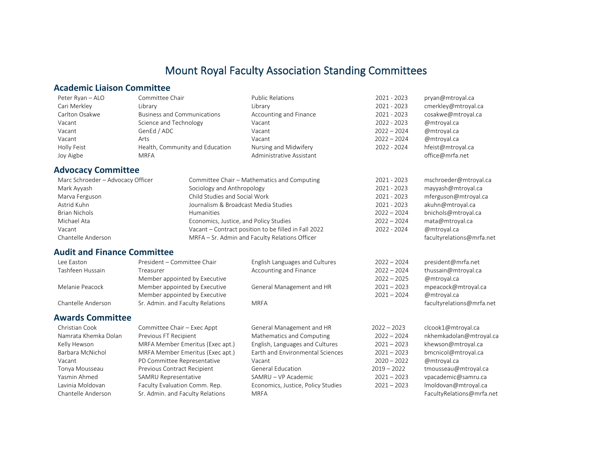## Mount Royal Faculty Association Standing Committees

#### <span id="page-1-0"></span>**Academic Liaison Committee**

<span id="page-1-1"></span>

| Peter Ryan - ALO                   | Committee Chair                    | <b>Public Relations</b>                              | 2021 - 2023   | pryan@mtroyal.ca          |
|------------------------------------|------------------------------------|------------------------------------------------------|---------------|---------------------------|
| Cari Merkley                       | Library                            | Library                                              | $2021 - 2023$ | cmerkley@mtroyal.ca       |
| Carlton Osakwe                     | <b>Business and Communications</b> | Accounting and Finance                               | $2021 - 2023$ | cosakwe@mtroyal.ca        |
| Vacant                             | Science and Technology             | Vacant                                               | 2022 - 2023   | @mtroyal.ca               |
| Vacant                             | GenEd / ADC                        | Vacant                                               | $2022 - 2024$ | @mtroyal.ca               |
| Vacant                             | Arts                               | Vacant                                               | $2022 - 2024$ | @mtroyal.ca               |
| Holly Feist                        | Health, Community and Education    | Nursing and Midwifery                                | 2022 - 2024   | hfeist@mtroyal.ca         |
| Joy Aigbe                          | <b>MRFA</b>                        | Administrative Assistant                             |               | office@mrfa.net           |
| <b>Advocacy Committee</b>          |                                    |                                                      |               |                           |
| Marc Schroeder - Advocacy Officer  |                                    | Committee Chair - Mathematics and Computing          | $2021 - 2023$ | mschroeder@mtroyal.ca     |
| Mark Ayyash                        | Sociology and Anthropology         |                                                      | 2021 - 2023   | mayyash@mtroyal.ca        |
| Marva Ferguson                     | Child Studies and Social Work      |                                                      | 2021 - 2023   | mferguson@mtroyal.ca      |
| Astrid Kuhn                        |                                    | Journalism & Broadcast Media Studies                 | 2021 - 2023   | akuhn@mtroyal.ca          |
| <b>Brian Nichols</b>               | Humanities                         |                                                      | $2022 - 2024$ | bnichols@mtroyal.ca       |
| Michael Ata                        |                                    | Economics, Justice, and Policy Studies               | $2022 - 2024$ | mata@mtroyal.ca           |
| Vacant                             |                                    | Vacant - Contract position to be filled in Fall 2022 | 2022 - 2024   | @mtroyal.ca               |
| Chantelle Anderson                 |                                    | MRFA - Sr. Admin and Faculty Relations Officer       |               | facultyrelations@mrfa.net |
| <b>Audit and Finance Committee</b> |                                    |                                                      |               |                           |
| Lee Easton                         | President - Committee Chair        | English Languages and Cultures                       | $2022 - 2024$ | president@mrfa.net        |
| Tashfeen Hussain                   | Treasurer                          | Accounting and Finance                               | $2022 - 2024$ | thussain@mtroyal.ca       |
|                                    | Member appointed by Executive      |                                                      | $2022 - 2025$ | @mtroyal.ca               |
| Melanie Peacock                    | Member appointed by Executive      | General Management and HR                            | $2021 - 2023$ | mpeacock@mtroyal.ca       |
|                                    | Member appointed by Executive      |                                                      | $2021 - 2024$ | @mtroyal.ca               |
| Chantelle Anderson                 | Sr. Admin. and Faculty Relations   | <b>MRFA</b>                                          |               | facultyrelations@mrfa.net |
| <b>Awards Committee</b>            |                                    |                                                      |               |                           |
| Christian Cook                     | Committee Chair - Exec Appt        | General Management and HR                            | $2022 - 2023$ | clcook1@mtroyal.ca        |
| Namrata Khemka Dolan               | Previous FT Recipient              | Mathematics and Computing                            | $2022 - 2024$ | nkhemkadolan@mtroyal.ca   |

<span id="page-1-2"></span>Kelly Hewson MRFA Member Emeritus (Exec apt.) English, Languages and Cultures 2021 – 2023 khewson@mtroyal.ca Barbara McNichol MRFA Member Emeritus (Exec apt.) Earth and Environmental Sciences 2021 – 2023 bmcnicol@mtroyal.ca Vacant PD Committee Representative Vacant 2020 – 2022 @mtroyal.ca Tonya Mousseau Previous Contract Recipient General Education 2019 – 2022 tmousseau@mtroyal.ca Yasmin Ahmed SAMRU Representative SAMRU – VP Academic 2021 – 2023 vpacademic@samru.ca Lavinia Moldovan Faculty Evaluation Comm. Rep. Full and Schomics, Justice, Policy Studies 2021 – 2023 Imoldovan@mtroyal.ca

Chantelle Anderson Sr. Admin. and Faculty Relations MRFA MATA RESOLUTION Chantelle Anderson Samuel Chantel St. Admin. and Faculty Relations MRFA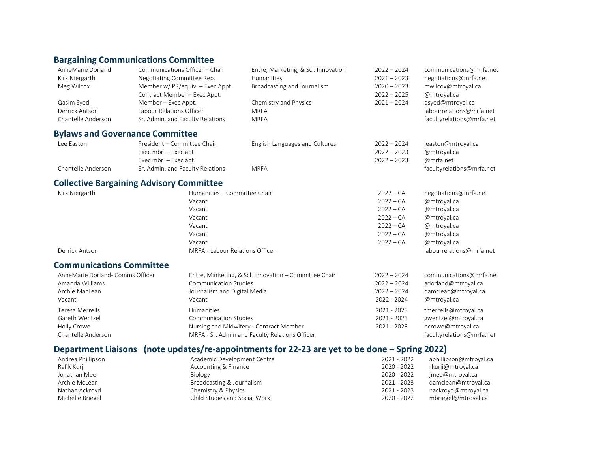## <span id="page-2-0"></span>**Bargaining Communications Committee**

<span id="page-2-2"></span><span id="page-2-1"></span>

| AnneMarie Dorland                               |                            | Communications Officer - Chair       | Entre, Marketing, & Scl. Innovation                                                           | $2022 - 2024$ | communications@mrfa.net   |
|-------------------------------------------------|----------------------------|--------------------------------------|-----------------------------------------------------------------------------------------------|---------------|---------------------------|
| Kirk Niergarth                                  | Negotiating Committee Rep. |                                      | Humanities                                                                                    | $2021 - 2023$ | negotiations@mrfa.net     |
| Meg Wilcox                                      |                            | Member w/ PR/equiv. - Exec Appt.     | Broadcasting and Journalism                                                                   | $2020 - 2023$ | mwilcox@mtroyal.ca        |
|                                                 |                            | Contract Member - Exec Appt.         |                                                                                               | $2022 - 2025$ | @mtroyal.ca               |
| Qasim Syed                                      | Member - Exec Appt.        |                                      | Chemistry and Physics                                                                         | $2021 - 2024$ | qsyed@mtroyal.ca          |
| Derrick Antson                                  | Labour Relations Officer   |                                      | <b>MRFA</b>                                                                                   |               | labourrelations@mrfa.net  |
| Chantelle Anderson                              |                            | Sr. Admin. and Faculty Relations     | <b>MRFA</b>                                                                                   |               | facultyrelations@mrfa.net |
| <b>Bylaws and Governance Committee</b>          |                            |                                      |                                                                                               |               |                           |
| Lee Easton                                      |                            | President - Committee Chair          | English Languages and Cultures                                                                | $2022 - 2024$ | leaston@mtroyal.ca        |
|                                                 | Exec mbr $-$ Exec apt.     |                                      |                                                                                               | $2022 - 2023$ | @mtroyal.ca               |
|                                                 | Exec mbr $-$ Exec apt.     |                                      |                                                                                               | $2022 - 2023$ | @mrfa.net                 |
| Chantelle Anderson                              |                            | Sr. Admin. and Faculty Relations     | <b>MRFA</b>                                                                                   |               | facultyrelations@mrfa.net |
| <b>Collective Bargaining Advisory Committee</b> |                            |                                      |                                                                                               |               |                           |
| Kirk Niergarth                                  |                            |                                      | Humanities - Committee Chair                                                                  |               | negotiations@mrfa.net     |
|                                                 |                            | Vacant                               |                                                                                               | $2022 - CA$   | @mtroyal.ca               |
|                                                 |                            | Vacant                               |                                                                                               | $2022 - CA$   | @mtroyal.ca               |
|                                                 |                            | Vacant<br>Vacant<br>Vacant<br>Vacant |                                                                                               | $2022 - CA$   | @mtroyal.ca               |
|                                                 |                            |                                      |                                                                                               | $2022 - CA$   | @mtroyal.ca               |
|                                                 |                            |                                      |                                                                                               | $2022 - CA$   | @mtroyal.ca               |
|                                                 |                            |                                      |                                                                                               | $2022 - CA$   | @mtroyal.ca               |
| Derrick Antson                                  |                            |                                      | MRFA - Labour Relations Officer                                                               |               | labourrelations@mrfa.net  |
| <b>Communications Committee</b>                 |                            |                                      |                                                                                               |               |                           |
| AnneMarie Dorland- Comms Officer                |                            |                                      | Entre, Marketing, & Scl. Innovation - Committee Chair                                         | $2022 - 2024$ | communications@mrfa.net   |
| Amanda Williams                                 |                            | <b>Communication Studies</b>         |                                                                                               | $2022 - 2024$ | adorland@mtroyal.ca       |
| Archie MacLean                                  |                            | Journalism and Digital Media         |                                                                                               | $2022 - 2024$ | damclean@mtroyal.ca       |
| Vacant                                          |                            | Vacant                               |                                                                                               | 2022 - 2024   | @mtroyal.ca               |
| <b>Teresa Merrells</b>                          |                            | Humanities                           |                                                                                               | 2021 - 2023   | tmerrells@mtroyal.ca      |
| Gareth Wentzel                                  |                            | <b>Communication Studies</b>         |                                                                                               | 2021 - 2023   | gwentzel@mtroyal.ca       |
| Holly Crowe                                     |                            |                                      | Nursing and Midwifery - Contract Member                                                       | 2021 - 2023   | hcrowe@mtroyal.ca         |
| Chantelle Anderson                              |                            |                                      | MRFA - Sr. Admin and Faculty Relations Officer                                                |               | facultyrelations@mrfa.net |
|                                                 |                            |                                      | Department Liaisons (note updates/re-appointments for 22-23 are yet to be done – Spring 2022) |               |                           |
|                                                 |                            |                                      |                                                                                               |               |                           |

<span id="page-2-4"></span><span id="page-2-3"></span>

| Academic Development Centre   | 2021 - 2022 | aphillipson@mtroyal.ca |
|-------------------------------|-------------|------------------------|
| Accounting & Finance          | 2020 - 2022 | rkurji@mtroyal.ca      |
| Biology                       | 2020 - 2022 | imee@mtroyal.ca        |
| Broadcasting & Journalism     | 2021 - 2023 | damclean@mtroyal.ca    |
| Chemistry & Physics           | 2021 - 2023 | nackroyd@mtroyal.ca    |
| Child Studies and Social Work | 2020 - 2022 | mbriegel@mtroyal.ca    |
|                               |             |                        |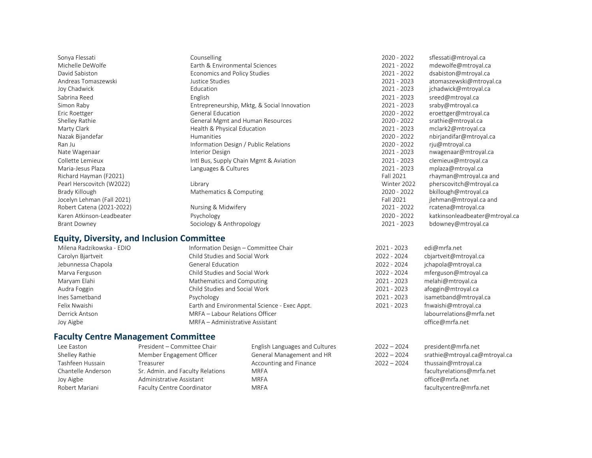| Sonya Flessati             | Counselling                                 | 2020 - 2022   | sflessati@mtroyal.ca           |
|----------------------------|---------------------------------------------|---------------|--------------------------------|
| Michelle DeWolfe           | Earth & Environmental Sciences              | $2021 - 2022$ | mdewolfe@mtroyal.ca            |
| David Sabiston             | Economics and Policy Studies                | $2021 - 2022$ | dsabiston@mtroyal.ca           |
| Andreas Tomaszewski        | Justice Studies                             | $2021 - 2023$ | atomaszewski@mtroyal.ca        |
| Joy Chadwick               | Education                                   | $2021 - 2023$ | jchadwick@mtroyal.ca           |
| Sabrina Reed               | English                                     | $2021 - 2023$ | sreed@mtroyal.ca               |
| Simon Raby                 | Entrepreneurship, Mktg, & Social Innovation | $2021 - 2023$ | sraby@mtroyal.ca               |
| Eric Roettger              | <b>General Education</b>                    | 2020 - 2022   | eroettger@mtroyal.ca           |
| Shelley Rathie             | General Mgmt and Human Resources            | 2020 - 2022   | srathie@mtroyal.ca             |
| Marty Clark                | Health & Physical Education                 | $2021 - 2023$ | mclark2@mtroyal.ca             |
| Nazak Bijandefar           | <b>Humanities</b>                           | $2020 - 2022$ | nbirjandifar@mtroyal.ca        |
| Ran Ju                     | Information Design / Public Relations       | 2020 - 2022   | rju@mtroyal.ca                 |
| Nate Wagenaar              | Interior Design                             | $2021 - 2023$ | nwagenaar@mtroyal.ca           |
| Collette Lemieux           | Intl Bus, Supply Chain Mgmt & Aviation      | 2021 - 2023   | clemieux@mtroyal.ca            |
| Maria-Jesus Plaza          | Languages & Cultures                        | $2021 - 2023$ | mplaza@mtroyal.ca              |
| Richard Hayman (F2021)     |                                             | Fall 2021     | rhayman@mtroyal.ca and         |
| Pearl Herscovitch (W2022)  | Library                                     | Winter 2022   | pherscovitch@mtroyal.ca        |
| Brady Killough             | Mathematics & Computing                     | 2020 - 2022   | bkillough@mtroyal.ca           |
| Jocelyn Lehman (Fall 2021) |                                             | Fall 2021     | jlehman@mtroyal.ca and         |
| Robert Catena (2021-2022)  | Nursing & Midwifery                         | 2021 - 2022   | rcatena@mtroyal.ca             |
| Karen Atkinson-Leadbeater  | Psychology                                  | $2020 - 2022$ | katkinsonleadbeater@mtroyal.ca |
| <b>Brant Downey</b>        | Sociology & Anthropology                    | 2021 - 2023   | bdowney@mtroyal.ca             |

#### **Equity, Diversity, and Inclusion Committee**

| Milena Radzikowska - EDIO | Information Design - Committee Chair         | 2021 - 2023   | edi@mrfa.net             |
|---------------------------|----------------------------------------------|---------------|--------------------------|
| Carolyn Bjartveit         | Child Studies and Social Work                | 2022 - 2024   | cbjartveit@mtroyal.ca    |
| Jebunnessa Chapola        | General Education                            | $2022 - 2024$ | jchapola@mtroyal.ca      |
| Marva Ferguson            | Child Studies and Social Work                | 2022 - 2024   | mferguson@mtroyal.ca     |
| Maryam Elahi              | Mathematics and Computing                    | $2021 - 2023$ | melahi@mtroyal.ca        |
| Audra Foggin              | Child Studies and Social Work                | 2021 - 2023   | afoggin@mtroyal.ca       |
| Ines Sametband            | Psychology                                   | 2021 - 2023   | isametband@mtroyal.ca    |
| Felix Nwaishi             | Earth and Environmental Science - Exec Appt. | $2021 - 2023$ | fnwaishi@mtroyal.ca      |
| Derrick Antson            | MRFA - Labour Relations Officer              |               | labourrelations@mrfa.net |
| Joy Aigbe                 | MRFA - Administrative Assistant              |               | office@mrfa.net          |

# <span id="page-3-0"></span>**Faculty Centre Management Committee**

| Lee Faston         |
|--------------------|
| Shelley Rathie     |
| Tashfeen Hussain   |
| Chantelle Anderson |
| Joy Aigbe          |
| Robert Mariani     |

Faculty Centre Coordinator MRFA

Treasurer **Treasurer Accounting and Finance** 2022 – 2024

English Languages and Cultures 2022 – 2024 president@mrfa.net Shelley Rathie Member Engagement Officer General Management and HR 2022 – 2024 srathie@mtroyal.ca@mtroyal.ca<br>Treasurer Ceneral Accounting and Finance 2022 – 2024 thussain@mtroyal.ca Sr. Admin. and Faculty Relations MRFA **MRTA** and Tacultyrelations @mrfa.net Administrative Assistant MRFA office@mrfa.net<br>
Faculty Centre Coordinator MRFA office@mrfa.net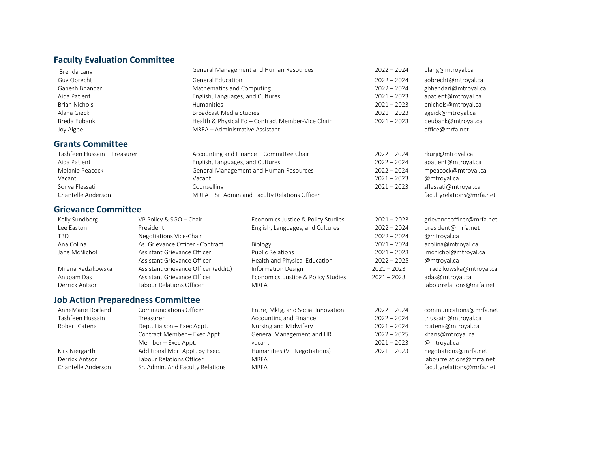## <span id="page-4-0"></span>**Faculty Evaluation Committee**

<span id="page-4-2"></span><span id="page-4-1"></span>

| Brenda Lang                  |                                          | General Management and Human Resources            | $2022 - 2024$ | blang@mtroyal.ca          |
|------------------------------|------------------------------------------|---------------------------------------------------|---------------|---------------------------|
| Guy Obrecht                  | <b>General Education</b>                 |                                                   | $2022 - 2024$ | aobrecht@mtroyal.ca       |
| Ganesh Bhandari              |                                          | Mathematics and Computing                         |               | gbhandari@mtroyal.ca      |
| Aida Patient                 | English, Languages, and Cultures         |                                                   | $2021 - 2023$ | apatient@mtroyal.ca       |
| <b>Brian Nichols</b>         | Humanities                               |                                                   | $2021 - 2023$ | bnichols@mtroyal.ca       |
| Alana Gieck                  | <b>Broadcast Media Studies</b>           |                                                   | $2021 - 2023$ | ageick@mtroyal.ca         |
| Breda Eubank                 |                                          | Health & Physical Ed - Contract Member-Vice Chair | $2021 - 2023$ | beubank@mtroyal.ca        |
| Joy Aigbe                    | MRFA - Administrative Assistant          |                                                   |               | office@mrfa.net           |
| <b>Grants Committee</b>      |                                          |                                                   |               |                           |
| Tashfeen Hussain - Treasurer |                                          | Accounting and Finance - Committee Chair          | $2022 - 2024$ | rkurji@mtroyal.ca         |
| Aida Patient                 | English, Languages, and Cultures         |                                                   | $2022 - 2024$ | apatient@mtroyal.ca       |
| Melanie Peacock              |                                          | General Management and Human Resources            | $2022 - 2024$ | mpeacock@mtroyal.ca       |
| Vacant                       | Vacant                                   |                                                   | $2021 - 2023$ | @mtroyal.ca               |
| Sonya Flessati               | Counselling                              |                                                   | $2021 - 2023$ | sflessati@mtroyal.ca      |
| Chantelle Anderson           |                                          | MRFA - Sr. Admin and Faculty Relations Officer    |               | facultyrelations@mrfa.net |
| <b>Grievance Committee</b>   |                                          |                                                   |               |                           |
| Kelly Sundberg               | VP Policy & SGO - Chair                  | Economics Justice & Policy Studies                | $2021 - 2023$ | grievanceofficer@mrfa.net |
| Lee Easton                   | President                                | English, Languages, and Cultures                  | $2022 - 2024$ | president@mrfa.net        |
| TBD                          | Negotiations Vice-Chair                  |                                                   | $2022 - 2024$ | @mtroyal.ca               |
| Ana Colina                   | As. Grievance Officer - Contract         | Biology                                           | $2021 - 2024$ | acolina@mtroyal.ca        |
| Jane McNichol                | Assistant Grievance Officer              | <b>Public Relations</b>                           | $2021 - 2023$ | jmcnichol@mtroyal.ca      |
|                              | Assistant Grievance Officer              | Health and Physical Education                     | $2022 - 2025$ | @mtroyal.ca               |
| Milena Radzikowska           | Assistant Grievance Officer (addit.)     | <b>Information Design</b>                         | $2021 - 2023$ | mradzikowska@mtroyal.ca   |
| Anupam Das                   | Assistant Grievance Officer              | Economics, Justice & Policy Studies               | $2021 - 2023$ | adas@mtroyal.ca           |
| Derrick Antson               | Labour Relations Officer                 | <b>MRFA</b>                                       |               | labourrelations@mrfa.net  |
|                              | <b>Job Action Preparedness Committee</b> |                                                   |               |                           |
| AnneMarie Dorland            | Communications Officer                   | Entre, Mktg, and Social Innovation                | $2022 - 2024$ | communications@mrfa.net   |
| Tashfeen Hussain             | Treasurer                                | Accounting and Finance                            | $2022 - 2024$ | thussain@mtroyal.ca       |
| Robert Catena                | Dept. Liaison - Exec Appt.               | Nursing and Midwifery                             | $2021 - 2024$ | rcatena@mtroyal.ca        |
|                              | Contract Member - Exec Appt.             | General Management and HR                         | $2022 - 2025$ | khans@mtroyal.ca          |
|                              | Member - Exec Appt.                      | vacant                                            | $2021 - 2023$ | @mtroyal.ca               |
| Kirk Niergarth               | Additional Mbr. Appt. by Exec.           | Humanities (VP Negotiations)                      | $2021 - 2023$ | negotiations@mrfa.net     |
| Derrick Antson               | Labour Relations Officer                 | <b>MRFA</b>                                       |               | labourrelations@mrfa.net  |

<span id="page-4-3"></span>Chantelle Anderson Sr. Admin. And Faculty Relations MRFA and States and States and Tacultyrelations Communications of the States of the States of the States of the States of the States of the States of the States of the St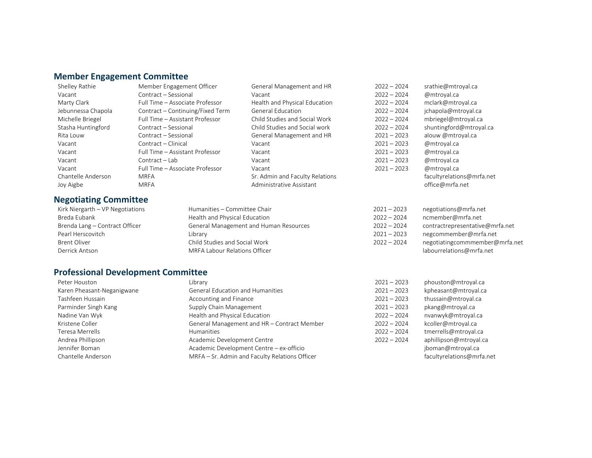#### <span id="page-5-0"></span>**Member Engagement Committee**

Vacant Contract – Sessional Vacant 2022 – 2024 @mtroyal.ca Marty Clark Full Time – Associate Professor Health and Physical Education 2022 – 2024 mclark@mtroyal.ca Jebunnessa Chapola Contract – Continuing/Fixed Term General Education 2022 – 2024 jchapola@mtroyal.ca Michelle Briegel Full Time – Assistant Professor Child Studies and Social Work 2022 – 2024 mbriegel@mtroyal.ca Rita Louw Contract – Sessional General Management and HR 2021 – 2023 alouw @mtroyal.ca Vacant Contract – Clinical Vacant 2021 – 2023 @mtroyal.ca Vacant Full Time – Assistant Professor Vacant 2021 – 2023 @mtroyal.ca Vacant Contract – Lab Vacant 2021 – 2023 @mtroyal.ca Vacant Full Time – Associate Professor Vacant Vacant 2021 – 2023 @mtroyal.ca Joy Aigbe **MRFA** MRFA Administrative Assistant **office@mrfa.net** office@mrfa.net

#### **Negotiating Committee**

- 
- Kirk Niergarth VP Negotiations and Humanities Committee Chair 2021 2021 2023 negotiations @mrfa.net Breda Eubank **Eubank** Health and Physical Education **1996 12001** 12022 – 2024 ncmember@mrfa.net

#### <span id="page-5-1"></span>**Professional Development Committee**

| Librarv                                        | $2021 - 2023$ | phouston@mtroyal.ca       |
|------------------------------------------------|---------------|---------------------------|
| <b>General Education and Humanities</b>        | $2021 - 2023$ | kpheasant@mtroyal.ca      |
| Accounting and Finance                         | $2021 - 2023$ | thussain@mtroyal.ca       |
| Supply Chain Management                        | $2021 - 2023$ | pkang@mtroyal.ca          |
| Health and Physical Education                  | $2022 - 2024$ | nvanwyk@mtroyal.ca        |
| General Management and HR - Contract Member    | $2022 - 2024$ | kcoller@mtroyal.ca        |
| <b>Humanities</b>                              | $2022 - 2024$ | tmerrells@mtroyal.ca      |
| Academic Development Centre                    | $2022 - 2024$ | aphillipson@mtroyal.ca    |
| Academic Development Centre - ex-officio       |               | jboman@mtroyal.ca         |
| MRFA - Sr. Admin and Faculty Relations Officer |               | facultyrelations@mrfa.net |
|                                                |               |                           |

- 
- Shelley Rathie **Member Engagement Officer** General Management and HR 2022 2024 srathie@mtroyal.ca Stasha Huntingford Contract – Sessional Child Studies and Social work 2022 – 2024 shuntingford@mtroyal.ca Chantelle Anderson MRFA MRFA Sr. Admin and Faculty Relations and Sr. Admin and Faculty Relations Communications facultyrelations and Facultyrelations and Facultyrelations and Faculty Relations and Facultyrelations and Facu
- Brenda Lang Contract Officer General Management and Human Resources 2022 2024 contractrepresentative@mrfa.net Pearl Herscovitch **Exercise 2021** – 2023 negcommember@mrfa.net Brent Oliver **Child Studies and Social Work** 2022 – 2024 negotiatingcommmember@mrfa.net Derrick Antson and MRFA Labour Relations Officer labour and the labourrelations @mrfa.net
	-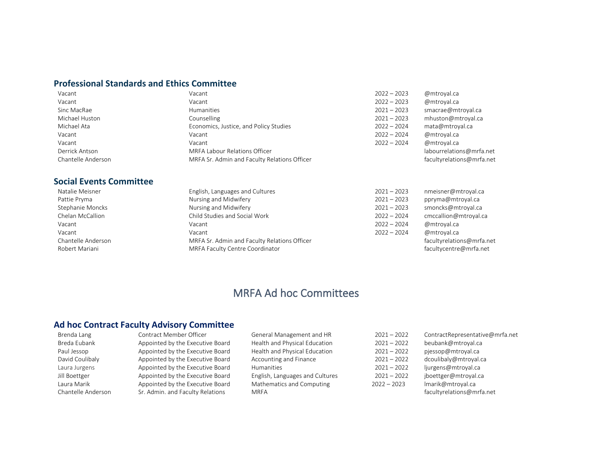#### <span id="page-6-0"></span>**Professional Standards and Ethics Committee**

| Vacant             | Vacant                                       | $2022 - 2023$ | @mtroyal.ca               |
|--------------------|----------------------------------------------|---------------|---------------------------|
| Vacant             | Vacant                                       | $2022 - 2023$ | @mtroyal.ca               |
| Sinc MacRae        | Humanities                                   | $2021 - 2023$ | smacrae@mtroyal.ca        |
| Michael Huston     | Counselling                                  | $2021 - 2023$ | mhuston@mtroyal.ca        |
| Michael Ata        | Economics, Justice, and Policy Studies       | $2022 - 2024$ | mata@mtroyal.ca           |
| Vacant             | Vacant                                       | $2022 - 2024$ | @mtroyal.ca               |
| Vacant             | Vacant                                       | $2022 - 2024$ | @mtroyal.ca               |
| Derrick Antson     | MRFA Labour Relations Officer                |               | labourrelations@mrfa.net  |
| Chantelle Anderson | MRFA Sr. Admin and Faculty Relations Officer |               | facultyrelations@mrfa.net |

#### <span id="page-6-1"></span>**Social Events Committee**

| Robert Mariani     | MRFA Faculty Centre Coordinator              |               | facultycentre@mrfa.net    |
|--------------------|----------------------------------------------|---------------|---------------------------|
| Chantelle Anderson | MRFA Sr. Admin and Faculty Relations Officer |               | facultyrelations@mrfa.net |
| Vacant             | Vacant                                       | $2022 - 2024$ | @mtroval.ca               |
| Vacant             | Vacant                                       | $2022 - 2024$ | @mtroyal.ca               |
| Chelan McCallion   | Child Studies and Social Work                | $2022 - 2024$ | cmccallion@mtroyal.ca     |
| Stephanie Moncks   | Nursing and Midwifery                        | $2021 - 2023$ | smoncks@mtroyal.ca        |
| Pattie Pryma       | Nursing and Midwifery                        | $2021 - 2023$ | ppryma@mtroyal.ca         |
| Natalie Meisner    | English, Languages and Cultures              | $2021 - 2023$ | nmeisner@mtroyal.ca       |

## MRFA Ad hoc Committees

#### <span id="page-6-2"></span>**Ad hoc Contract Faculty Advisory Committee**

Breda Eubank Appointed by the Executive Board Health and Physical Education 2021 – 2022 beubank@mtroyal.ca Paul Jessop **Appointed by the Executive Board** Health and Physical Education 2021 – 2022 pjessop@mtroyal.ca David Coulibaly **Appointed by the Executive Board** Accounting and Finance 2021 – 2022 dcoulibaly@mtroyal.ca Laura Jurgens **Appointed by the Executive Board** Humanities **1998** Humanities 2021 – 2022 ljurgens@mtroyal.ca Jill Boettger Appointed by the Executive Board English, Languages and Cultures 2021 – 2022 jboettger@mtroyal.ca Laura Marik **Appointed by the Executive Board** Mathematics and Computing 2022 – 2023 Imarik@mtroyal.ca Chantelle Anderson Sr. Admin. and Faculty Relations MRFA and the state of the state of the facultyrelations and faculty Relations MRFA

Brenda Lang Contract Member Officer General Management and HR 2021 – 2022 ContractRepresentative@mrfa.net

- -
	-
	-
	-
	- -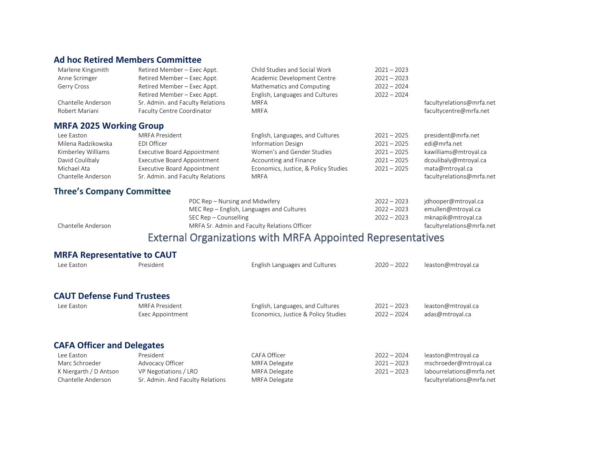### <span id="page-7-0"></span>**Ad hoc Retired Members Committee**

<span id="page-7-1"></span>

| Marlene Kingsmith                | Retired Member – Exec Appt.        | Child Studies and Social Work        | $2021 - 2023$ |                           |
|----------------------------------|------------------------------------|--------------------------------------|---------------|---------------------------|
| Anne Scrimger                    | Retired Member - Exec Appt.        | Academic Development Centre          | $2021 - 2023$ |                           |
| Gerry Cross                      | Retired Member - Exec Appt.        | Mathematics and Computing            | $2022 - 2024$ |                           |
|                                  | Retired Member - Exec Appt.        | English, Languages and Cultures      | $2022 - 2024$ |                           |
| Chantelle Anderson               | Sr. Admin. and Faculty Relations   | <b>MRFA</b>                          |               | facultyrelations@mrfa.net |
| Robert Mariani                   | Faculty Centre Coordinator         | <b>MRFA</b>                          |               | facultycentre@mrfa.net    |
| <b>MRFA 2025 Working Group</b>   |                                    |                                      |               |                           |
| Lee Easton                       | MRFA President                     | English, Languages, and Cultures     | $2021 - 2025$ | president@mrfa.net        |
| Milena Radzikowska               | EDI Officer                        | <b>Information Design</b>            | $2021 - 2025$ | edi@mrfa.net              |
| Kimberley Williams               | <b>Executive Board Appointment</b> | Women's and Gender Studies           | $2021 - 2025$ | kawilliams@mtroyal.ca     |
| David Coulibaly                  | <b>Executive Board Appointment</b> | Accounting and Finance               | $2021 - 2025$ | dcoulibaly@mtroyal.ca     |
| Michael Ata                      | <b>Executive Board Appointment</b> | Economics, Justice, & Policy Studies | $2021 - 2025$ | mata@mtroyal.ca           |
| Chantelle Anderson               | Sr. Admin. and Faculty Relations   | <b>MRFA</b>                          |               | facultyrelations@mrfa.net |
| <b>Three's Company Committee</b> |                                    |                                      |               |                           |
|                                  |                                    |                                      |               |                           |

<span id="page-7-2"></span>

|                    | PDC Rep – Nursing and Midwifery              | $2022 - 2023$ | jdhooper@mtroyal.ca       |
|--------------------|----------------------------------------------|---------------|---------------------------|
|                    | MEC Rep – English, Languages and Cultures    | $2022 - 2023$ | emullen@mtroval.ca        |
|                    | SEC Rep – Counselling                        | $2022 - 2023$ | mknapik@mtroyal.ca        |
| Chantelle Anderson | MRFA Sr. Admin and Faculty Relations Officer |               | facultyrelations@mrfa.net |

## External Organizations with MRFA Appointed Representatives

### <span id="page-7-3"></span>**MRFA Representative to CAUT**

<span id="page-7-5"></span><span id="page-7-4"></span>

| Lee Easton                        | President                        | English Languages and Cultures      | $2020 - 2022$ | leaston@mtroyal.ca        |
|-----------------------------------|----------------------------------|-------------------------------------|---------------|---------------------------|
| <b>CAUT Defense Fund Trustees</b> |                                  |                                     |               |                           |
| Lee Easton                        | MRFA President                   | English, Languages, and Cultures    | $2021 - 2023$ | leaston@mtroyal.ca        |
|                                   | Exec Appointment                 | Economics, Justice & Policy Studies | $2022 - 2024$ | adas@mtroyal.ca           |
| <b>CAFA Officer and Delegates</b> |                                  |                                     |               |                           |
| Lee Easton                        | President                        | CAFA Officer                        | $2022 - 2024$ | leaston@mtroyal.ca        |
| Marc Schroeder                    | Advocacy Officer                 | <b>MRFA Delegate</b>                | $2021 - 2023$ | mschroeder@mtroyal.ca     |
| K Niergarth / D Antson            | VP Negotiations / LRO            | MRFA Delegate                       | $2021 - 2023$ | labourrelations@mrfa.net  |
| Chantelle Anderson                | Sr. Admin. And Faculty Relations | MRFA Delegate                       |               | facultyrelations@mrfa.net |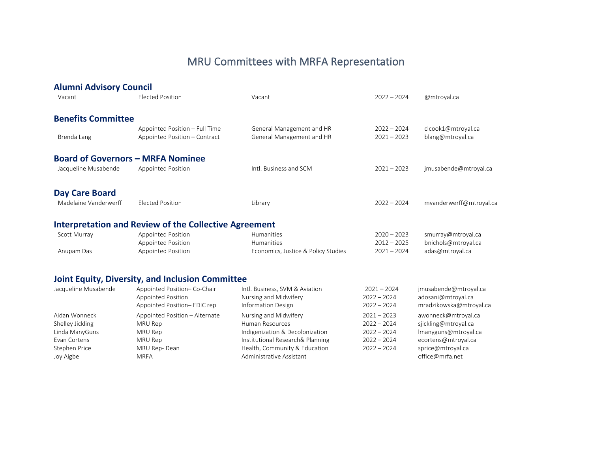## MRU Committees with MRFA Representation

<span id="page-8-5"></span><span id="page-8-4"></span><span id="page-8-3"></span><span id="page-8-2"></span><span id="page-8-1"></span><span id="page-8-0"></span>

| <b>Alumni Advisory Council</b> |                                                                 |                                                        |                                |                                        |
|--------------------------------|-----------------------------------------------------------------|--------------------------------------------------------|--------------------------------|----------------------------------------|
| Vacant                         | <b>Elected Position</b>                                         | Vacant                                                 | $2022 - 2024$                  | @mtroyal.ca                            |
| <b>Benefits Committee</b>      |                                                                 |                                                        |                                |                                        |
| Brenda Lang                    | Appointed Position - Full Time<br>Appointed Position - Contract | General Management and HR<br>General Management and HR | $2022 - 2024$<br>$2021 - 2023$ | clcook1@mtroyal.ca<br>blang@mtroyal.ca |
|                                |                                                                 |                                                        |                                |                                        |
|                                | <b>Board of Governors - MRFA Nominee</b>                        |                                                        |                                |                                        |
| Jacqueline Musabende           | <b>Appointed Position</b>                                       | Intl. Business and SCM                                 | $2021 - 2023$                  | jmusabende@mtroyal.ca                  |
| <b>Day Care Board</b>          |                                                                 |                                                        |                                |                                        |
| Madelaine Vanderwerff          | <b>Elected Position</b>                                         | Library                                                | $2022 - 2024$                  | mvanderwerff@mtroyal.ca                |
|                                | <b>Interpretation and Review of the Collective Agreement</b>    |                                                        |                                |                                        |
| Scott Murray                   | <b>Appointed Position</b>                                       | Humanities                                             | $2020 - 2023$                  | smurray@mtroyal.ca                     |
|                                | <b>Appointed Position</b>                                       | Humanities                                             | $2012 - 2025$                  | bnichols@mtroyal.ca                    |
| Anupam Das                     | <b>Appointed Position</b>                                       | Economics, Justice & Policy Studies                    | $2021 - 2024$                  | adas@mtroyal.ca                        |
|                                | <b>Joint Equity, Diversity, and Inclusion Committee</b>         |                                                        |                                |                                        |
| Jacqueline Musabende           | Appointed Position-Co-Chair                                     | Intl. Business, SVM & Aviation                         | $2021 - 2024$                  | jmusabende@mtroyal.ca                  |
|                                | <b>Appointed Position</b>                                       | Nursing and Midwifery                                  | $2022 - 2024$                  | adosani@mtroyal.ca                     |
|                                | Appointed Position-EDIC rep                                     | <b>Information Design</b>                              | $2022 - 2024$                  | mradzikowska@mtroyal.ca                |
| Aidan Wonneck                  | Appointed Position - Alternate                                  | Nursing and Midwifery                                  | $2021 - 2023$                  | awonneck@mtroyal.ca                    |
| Shelley Jickling               | MRU Rep                                                         | Human Resources                                        | $2022 - 2024$                  | sjickling@mtroyal.ca                   |
| Linda ManyGuns                 | MRU Rep                                                         | Indigenization & Decolonization                        | $2022 - 2024$                  | Imanyguns@mtroyal.ca                   |
| Evan Cortens                   | MRU Rep                                                         | Institutional Research& Planning                       | $2022 - 2024$                  | ecortens@mtroyal.ca                    |
| Stephen Price                  | MRU Rep-Dean                                                    | Health, Community & Education                          | $2022 - 2024$                  | sprice@mtroyal.ca                      |
| Joy Aigbe                      | <b>MRFA</b>                                                     | Administrative Assistant                               |                                | office@mrfa.net                        |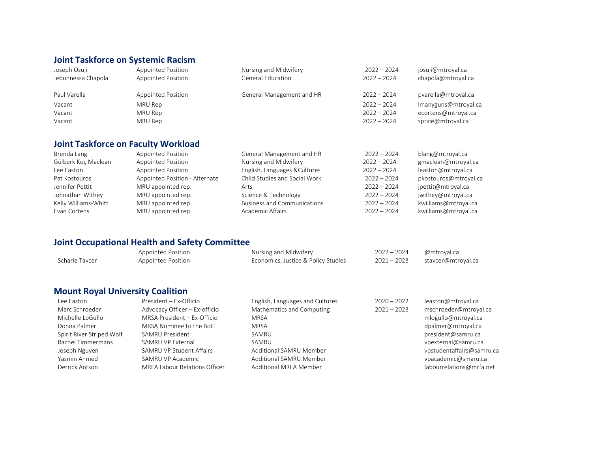## **Joint Taskforce on Systemic Racism**

| Appointed Position | Nursing and Midwifery    | $2022 - 2024$             | josuji@mtroyal.ca    |
|--------------------|--------------------------|---------------------------|----------------------|
| Appointed Position | <b>General Education</b> | $2022 - 2024$             | chapola@mtroyal.ca   |
|                    |                          |                           |                      |
|                    |                          | $2022 - 2024$             | pvarella@mtroyal.ca  |
| MRU Rep            |                          | $2022 - 2024$             | Imanyguns@mtroyal.ca |
| MRU Rep            |                          | $2022 - 2024$             | ecortens@mtroyal.ca  |
| MRU Rep            |                          | $2022 - 2024$             | sprice@mtroyal.ca    |
|                    | Appointed Position       | General Management and HR |                      |

## **Joint Taskforce on Faculty Workload**

| Brenda Lang          | Appointed Position             | General Management and HR          | $2022 - 2024$ | blang@mtroyal.ca      |
|----------------------|--------------------------------|------------------------------------|---------------|-----------------------|
| Gülberk Koç Maclean  | Appointed Position             | Nursing and Midwifery              | $2022 - 2024$ | gmaclean@mtroyal.ca   |
| Lee Easton           | Appointed Position             | English, Languages & Cultures      | $2022 - 2024$ | leaston@mtroyal.ca    |
| Pat Kostouros        | Appointed Position - Alternate | Child Studies and Social Work      | $2022 - 2024$ | pkostouros@mtroyal.ca |
| Jennifer Pettit      | MRU appointed rep.             | Arts                               | $2022 - 2024$ | jpettit@mtroyal.ca    |
| Johnathan Withey     | MRU appointed rep.             | Science & Technology               | $2022 - 2024$ | jwithey@mtroyal.ca    |
| Kelly Williams-Whitt | MRU appointed rep.             | <b>Business and Communications</b> | $2022 - 2024$ | kwilliams@mtroyal.ca  |
| Evan Cortens         | MRU appointed rep.             | Academic Affairs                   | $2022 - 2024$ | kwilliams@mtroyal.ca  |

## **Joint Occupational Health and Safety Committee**

|                | Appointed Position | Nursing and Midwifery               | $2022 - 2024$ | @mtroyal.ca        |
|----------------|--------------------|-------------------------------------|---------------|--------------------|
| Scharie Tavcer | Appointed Position | Economics, Justice & Policy Studies | $2021 - 2023$ | stavcer@mtroyal.ca |

## **Mount Royal University Coalition**

| Lee Easton                | President - Ex-Officio        | English, Languages and Cultures | $2020 - 2022$ | leaston@mtroyal.ca        |
|---------------------------|-------------------------------|---------------------------------|---------------|---------------------------|
| Marc Schroeder            | Advocacy Officer - Ex-officio | Mathematics and Computing       | $2021 - 2023$ | mschroeder@mtroyal.ca     |
| Michelle LoGullo          | MRSA President - Ex-Officio   | MRSA                            |               | mlogullo@mtroyal.ca       |
| Donna Palmer              | MRSA Nominee to the BoG       | MRSA                            |               | dpalmer@mtroyal.ca        |
| Spirit River Striped Wolf | SAMRU President               | SAMRU                           |               | president@samru.ca        |
| Rachel Timmermans         | SAMRU VP External             | SAMRU                           |               | vpexternal@samru.ca       |
| Joseph Nguyen             | SAMRU VP Student Affairs      | Additional SAMRU Member         |               | vpstudentaffairs@samru.ca |
| Yasmin Ahmed              | SAMRU VP Academic             | Additional SAMRU Member         |               | vpacademic@smaru.ca       |
| Derrick Antson            | MRFA Labour Relations Officer | Additional MRFA Member          |               | labourrelations@mrfa.net  |
|                           |                               |                                 |               |                           |